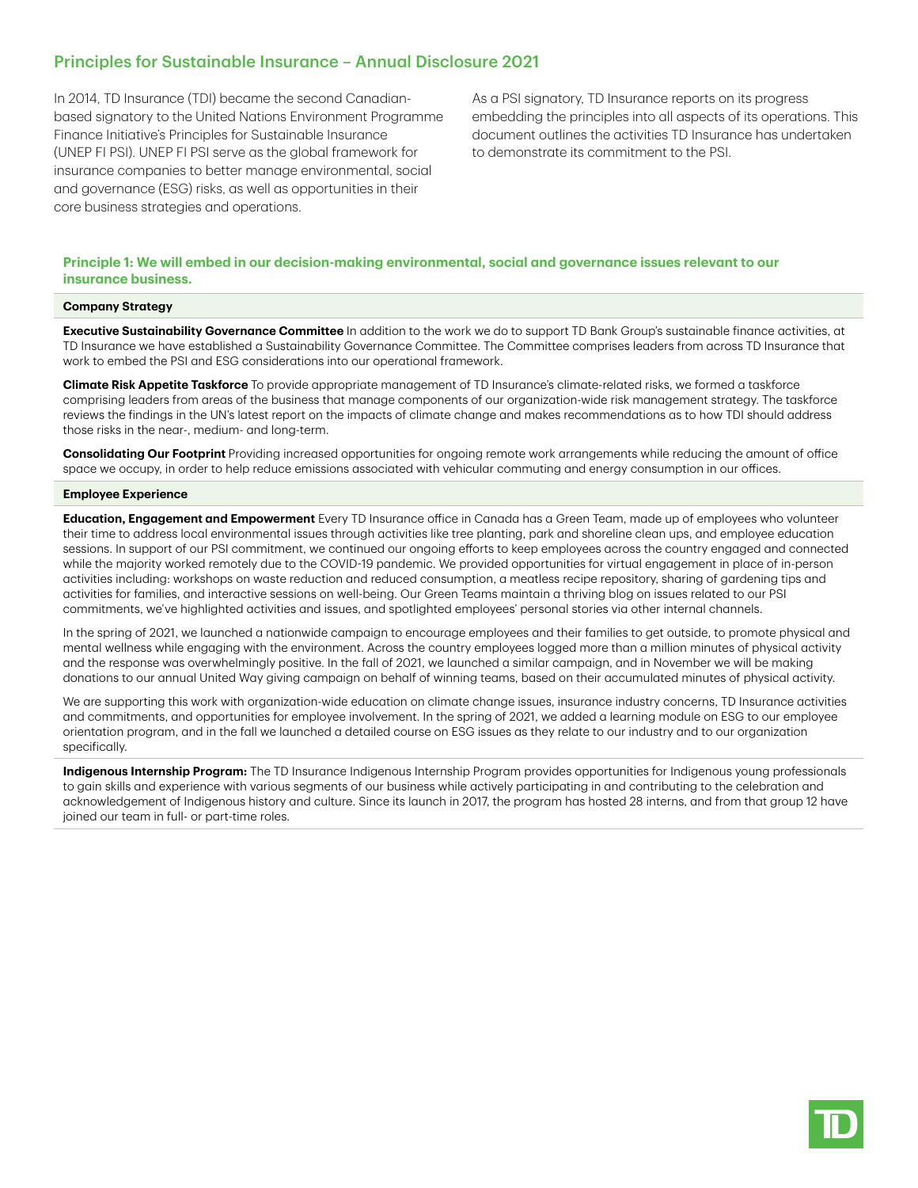# Principles for Sustainable Insurance – Annual Disclosure 2021

In 2014, TD Insurance (TDI) became the second Canadianbased signatory to the United Nations Environment Programme Finance Initiative's Principles for Sustainable Insurance (UNEP FI PSI). UNEP FI PSI serve as the global framework for insurance companies to better manage environmental, social and governance (ESG) risks, as well as opportunities in their core business strategies and operations.

As a PSI signatory, TD Insurance reports on its progress embedding the principles into all aspects of its operations. This document outlines the activities TD Insurance has undertaken to demonstrate its commitment to the PSI.

# **Principle 1: We will embed in our decision-making environmental, social and governance issues relevant to our insurance business.**

#### **Company Strategy**

**Executive Sustainability Governance Committee** In addition to the work we do to support TD Bank Group's sustainable finance activities, at TD Insurance we have established a Sustainability Governance Committee. The Committee comprises leaders from across TD Insurance that work to embed the PSI and ESG considerations into our operational framework.

**Climate Risk Appetite Taskforce** To provide appropriate management of TD Insurance's climate-related risks, we formed a taskforce comprising leaders from areas of the business that manage components of our organization-wide risk management strategy. The taskforce reviews the findings in the UN's latest report on the impacts of climate change and makes recommendations as to how TDI should address those risks in the near-, medium- and long-term.

**Consolidating Our Footprint** Providing increased opportunities for ongoing remote work arrangements while reducing the amount of office space we occupy, in order to help reduce emissions associated with vehicular commuting and energy consumption in our offices.

#### **Employee Experience**

**Education, Engagement and Empowerment** Every TD Insurance office in Canada has a Green Team, made up of employees who volunteer their time to address local environmental issues through activities like tree planting, park and shoreline clean ups, and employee education sessions. In support of our PSI commitment, we continued our ongoing efforts to keep employees across the country engaged and connected while the majority worked remotely due to the COVID-19 pandemic. We provided opportunities for virtual engagement in place of in-person activities including: workshops on waste reduction and reduced consumption, a meatless recipe repository, sharing of gardening tips and activities for families, and interactive sessions on well-being. Our Green Teams maintain a thriving blog on issues related to our PSI commitments, we've highlighted activities and issues, and spotlighted employees' personal stories via other internal channels.

In the spring of 2021, we launched a nationwide campaign to encourage employees and their families to get outside, to promote physical and mental wellness while engaging with the environment. Across the country employees logged more than a million minutes of physical activity and the response was overwhelmingly positive. In the fall of 2021, we launched a similar campaign, and in November we will be making donations to our annual United Way giving campaign on behalf of winning teams, based on their accumulated minutes of physical activity.

We are supporting this work with organization-wide education on climate change issues, insurance industry concerns, TD Insurance activities and commitments, and opportunities for employee involvement. In the spring of 2021, we added a learning module on ESG to our employee orientation program, and in the fall we launched a detailed course on ESG issues as they relate to our industry and to our organization specifically.

**Indigenous Internship Program:** The TD Insurance Indigenous Internship Program provides opportunities for Indigenous young professionals to gain skills and experience with various segments of our business while actively participating in and contributing to the celebration and acknowledgement of Indigenous history and culture. Since its launch in 2017, the program has hosted 28 interns, and from that group 12 have joined our team in full- or part-time roles.

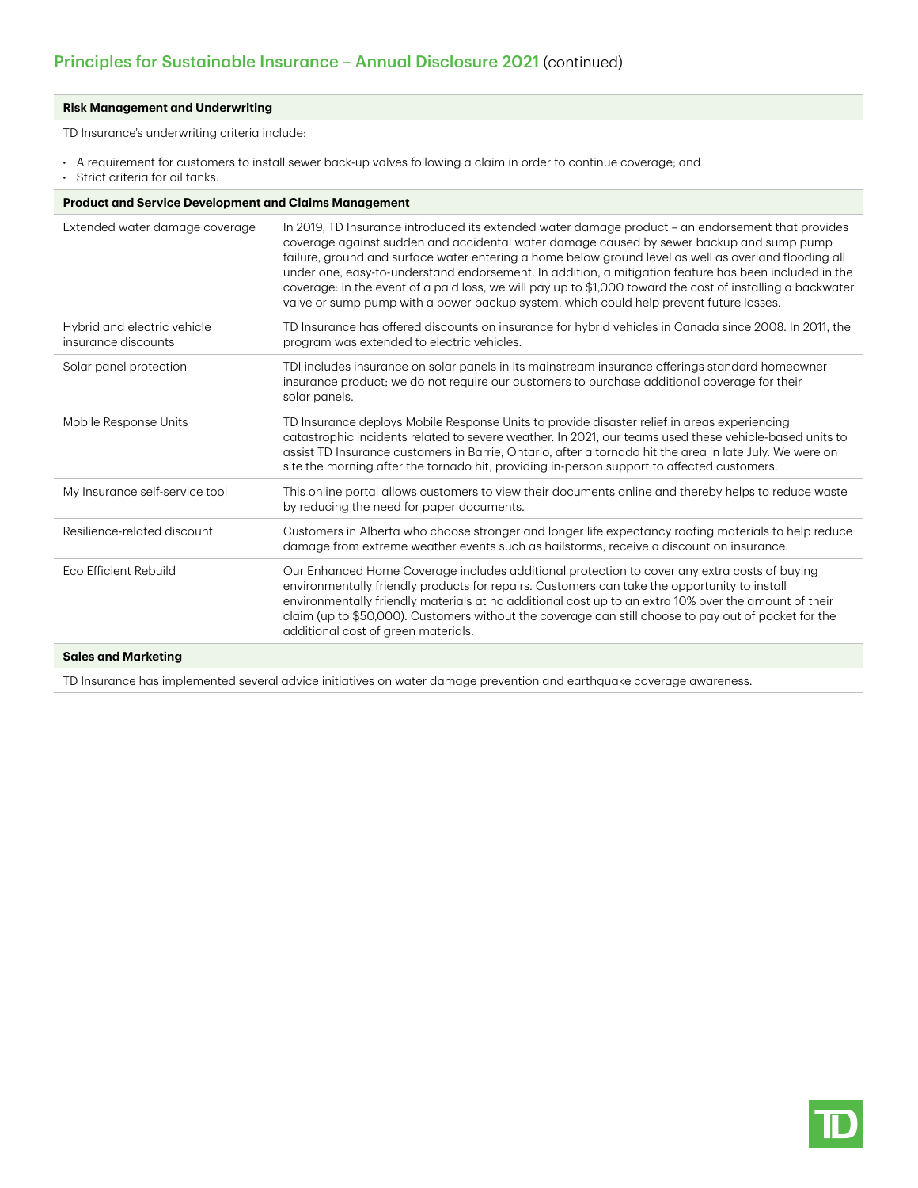# **Risk Management and Underwriting**

TD Insurance's underwriting criteria include:

- A requirement for customers to install sewer back-up valves following a claim in order to continue coverage; and
- Strict criteria for oil tanks.

| <b>Product and Service Development and Claims Management</b> |  |  |
|--------------------------------------------------------------|--|--|
|                                                              |  |  |

| Extended water damage coverage                     | In 2019, TD Insurance introduced its extended water damage product – an endorsement that provides<br>coverage against sudden and accidental water damage caused by sewer backup and sump pump<br>failure, ground and surface water entering a home below ground level as well as overland flooding all<br>under one, easy-to-understand endorsement. In addition, a mitigation feature has been included in the<br>coverage: in the event of a paid loss, we will pay up to \$1,000 toward the cost of installing a backwater<br>valve or sump pump with a power backup system, which could help prevent future losses. |
|----------------------------------------------------|-------------------------------------------------------------------------------------------------------------------------------------------------------------------------------------------------------------------------------------------------------------------------------------------------------------------------------------------------------------------------------------------------------------------------------------------------------------------------------------------------------------------------------------------------------------------------------------------------------------------------|
| Hybrid and electric vehicle<br>insurance discounts | TD Insurance has offered discounts on insurance for hybrid vehicles in Canada since 2008. In 2011, the<br>program was extended to electric vehicles.                                                                                                                                                                                                                                                                                                                                                                                                                                                                    |
| Solar panel protection                             | TDI includes insurance on solar panels in its mainstream insurance offerings standard homeowner<br>insurance product; we do not require our customers to purchase additional coverage for their<br>solar panels.                                                                                                                                                                                                                                                                                                                                                                                                        |
| Mobile Response Units                              | TD Insurance deploys Mobile Response Units to provide disaster relief in areas experiencing<br>catastrophic incidents related to severe weather. In 2021, our teams used these vehicle-based units to<br>assist TD Insurance customers in Barrie, Ontario, after a tornado hit the area in late July. We were on<br>site the morning after the tornado hit, providing in-person support to affected customers.                                                                                                                                                                                                          |
| My Insurance self-service tool                     | This online portal allows customers to view their documents online and thereby helps to reduce waste<br>by reducing the need for paper documents.                                                                                                                                                                                                                                                                                                                                                                                                                                                                       |
| Resilience-related discount                        | Customers in Alberta who choose stronger and longer life expectancy roofing materials to help reduce<br>damage from extreme weather events such as hailstorms, receive a discount on insurance.                                                                                                                                                                                                                                                                                                                                                                                                                         |
| Eco Efficient Rebuild                              | Our Enhanced Home Coverage includes additional protection to cover any extra costs of buying<br>environmentally friendly products for repairs. Customers can take the opportunity to install<br>environmentally friendly materials at no additional cost up to an extra 10% over the amount of their<br>claim (up to \$50,000). Customers without the coverage can still choose to pay out of pocket for the<br>additional cost of green materials.                                                                                                                                                                     |
| One have been all follows that the c               |                                                                                                                                                                                                                                                                                                                                                                                                                                                                                                                                                                                                                         |

### **Sales and Marketing**

TD Insurance has implemented several advice initiatives on water damage prevention and earthquake coverage awareness.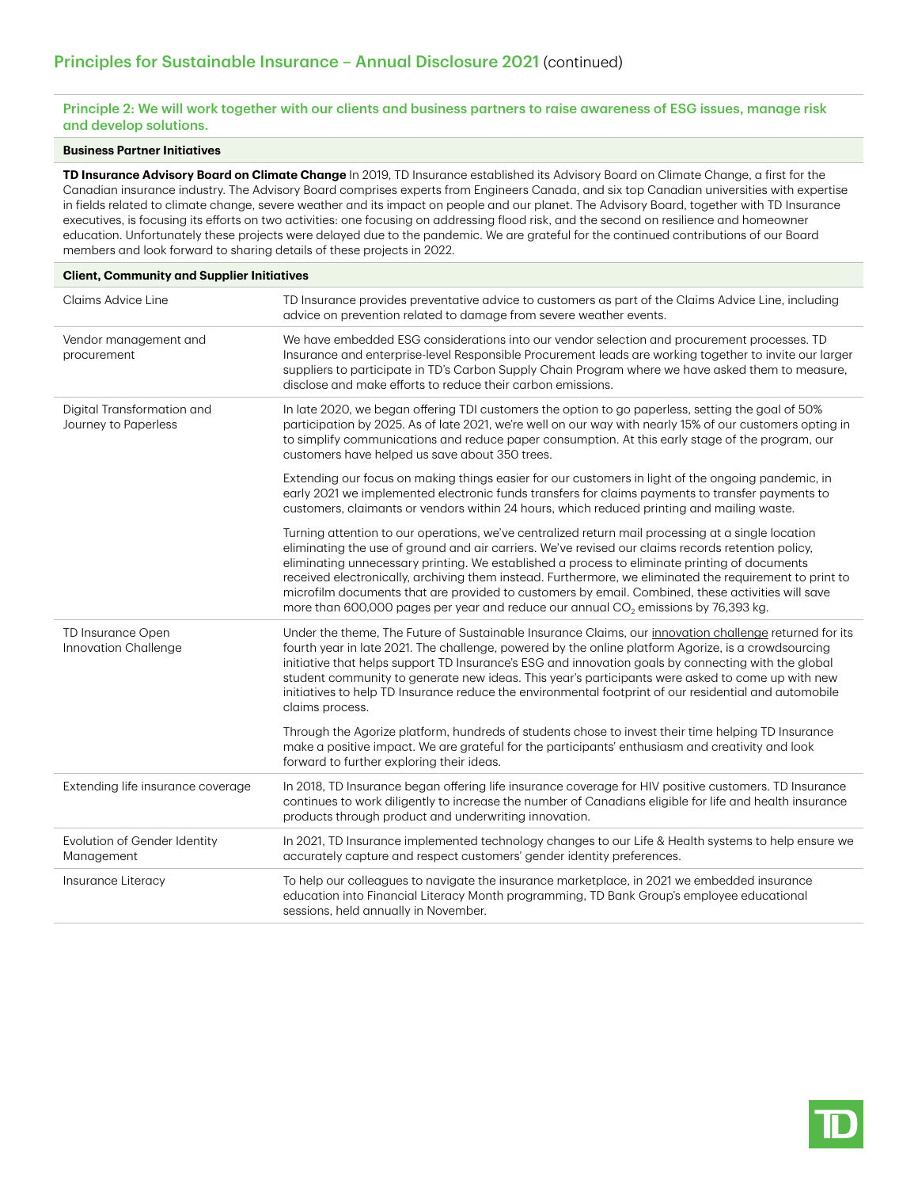Principle 2: We will work together with our clients and business partners to raise awareness of ESG issues, manage risk and develop solutions.

### **Business Partner Initiatives**

**TD Insurance Advisory Board on Climate Change** In 2019, TD Insurance established its Advisory Board on Climate Change, a first for the Canadian insurance industry. The Advisory Board comprises experts from Engineers Canada, and six top Canadian universities with expertise in fields related to climate change, severe weather and its impact on people and our planet. The Advisory Board, together with TD Insurance executives, is focusing its efforts on two activities: one focusing on addressing flood risk, and the second on resilience and homeowner education. Unfortunately these projects were delayed due to the pandemic. We are grateful for the continued contributions of our Board members and look forward to sharing details of these projects in 2022.

| <b>Client, Community and Supplier Initiatives</b>  |                                                                                                                                                                                                                                                                                                                                                                                                                                                                                                                                                                                                                   |  |
|----------------------------------------------------|-------------------------------------------------------------------------------------------------------------------------------------------------------------------------------------------------------------------------------------------------------------------------------------------------------------------------------------------------------------------------------------------------------------------------------------------------------------------------------------------------------------------------------------------------------------------------------------------------------------------|--|
| Claims Advice Line                                 | TD Insurance provides preventative advice to customers as part of the Claims Advice Line, including<br>advice on prevention related to damage from severe weather events.                                                                                                                                                                                                                                                                                                                                                                                                                                         |  |
| Vendor management and<br>procurement               | We have embedded ESG considerations into our vendor selection and procurement processes. TD<br>Insurance and enterprise-level Responsible Procurement leads are working together to invite our larger<br>suppliers to participate in TD's Carbon Supply Chain Program where we have asked them to measure,<br>disclose and make efforts to reduce their carbon emissions.                                                                                                                                                                                                                                         |  |
| Digital Transformation and<br>Journey to Paperless | In late 2020, we began offering TDI customers the option to go paperless, setting the goal of 50%<br>participation by 2025. As of late 2021, we're well on our way with nearly 15% of our customers opting in<br>to simplify communications and reduce paper consumption. At this early stage of the program, our<br>customers have helped us save about 350 trees.                                                                                                                                                                                                                                               |  |
|                                                    | Extending our focus on making things easier for our customers in light of the ongoing pandemic, in<br>early 2021 we implemented electronic funds transfers for claims payments to transfer payments to<br>customers, claimants or vendors within 24 hours, which reduced printing and mailing waste.                                                                                                                                                                                                                                                                                                              |  |
|                                                    | Turning attention to our operations, we've centralized return mail processing at a single location<br>eliminating the use of ground and air carriers. We've revised our claims records retention policy,<br>eliminating unnecessary printing. We established a process to eliminate printing of documents<br>received electronically, archiving them instead. Furthermore, we eliminated the requirement to print to<br>microfilm documents that are provided to customers by email. Combined, these activities will save<br>more than 600,000 pages per year and reduce our annual $CO2$ emissions by 76,393 kg. |  |
| TD Insurance Open<br>Innovation Challenge          | Under the theme, The Future of Sustainable Insurance Claims, our innovation challenge returned for its<br>fourth year in late 2021. The challenge, powered by the online platform Agorize, is a crowdsourcing<br>initiative that helps support TD Insurance's ESG and innovation goals by connecting with the global<br>student community to generate new ideas. This year's participants were asked to come up with new<br>initiatives to help TD Insurance reduce the environmental footprint of our residential and automobile<br>claims process.                                                              |  |
|                                                    | Through the Agorize platform, hundreds of students chose to invest their time helping TD Insurance<br>make a positive impact. We are grateful for the participants' enthusiasm and creativity and look<br>forward to further exploring their ideas.                                                                                                                                                                                                                                                                                                                                                               |  |
| Extending life insurance coverage                  | In 2018, TD Insurance began offering life insurance coverage for HIV positive customers. TD Insurance<br>continues to work diligently to increase the number of Canadians eligible for life and health insurance<br>products through product and underwriting innovation.                                                                                                                                                                                                                                                                                                                                         |  |
| Evolution of Gender Identity<br>Management         | In 2021, TD Insurance implemented technology changes to our Life & Health systems to help ensure we<br>accurately capture and respect customers' gender identity preferences.                                                                                                                                                                                                                                                                                                                                                                                                                                     |  |
| Insurance Literacy                                 | To help our colleagues to navigate the insurance marketplace, in 2021 we embedded insurance<br>education into Financial Literacy Month programming, TD Bank Group's employee educational<br>sessions, held annually in November.                                                                                                                                                                                                                                                                                                                                                                                  |  |